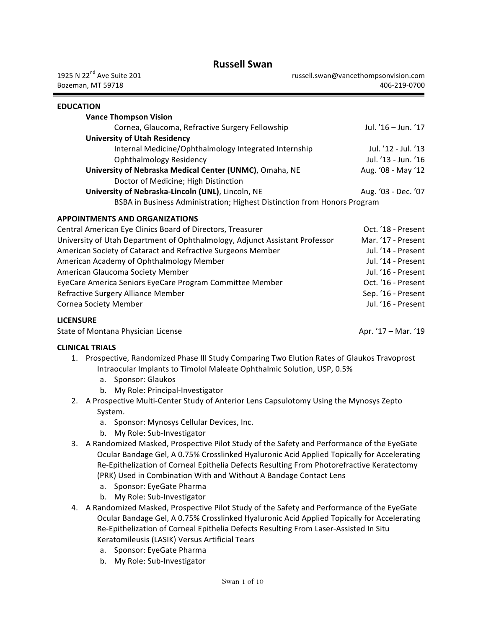# **Russell Swan**

| 1925 N 22 <sup>nd</sup> Ave Suite 201<br>Bozeman, MT 59718                  |                                                                                              | russell.swan@vancethompsonvision.com<br>406-219-0700                                       |
|-----------------------------------------------------------------------------|----------------------------------------------------------------------------------------------|--------------------------------------------------------------------------------------------|
| <b>EDUCATION</b>                                                            |                                                                                              |                                                                                            |
| <b>Vance Thompson Vision</b>                                                |                                                                                              |                                                                                            |
|                                                                             | Cornea, Glaucoma, Refractive Surgery Fellowship                                              | Jul. '16 - Jun. '17                                                                        |
| <b>University of Utah Residency</b>                                         |                                                                                              |                                                                                            |
|                                                                             | Internal Medicine/Ophthalmology Integrated Internship                                        | Jul. '12 - Jul. '13                                                                        |
| <b>Ophthalmology Residency</b>                                              |                                                                                              | Jul. '13 - Jun. '16                                                                        |
| Doctor of Medicine; High Distinction                                        | University of Nebraska Medical Center (UNMC), Omaha, NE                                      | Aug. '08 - May '12                                                                         |
| University of Nebraska-Lincoln (UNL), Lincoln, NE                           |                                                                                              | Aug. '03 - Dec. '07                                                                        |
|                                                                             | BSBA in Business Administration; Highest Distinction from Honors Program                     |                                                                                            |
|                                                                             |                                                                                              |                                                                                            |
| <b>APPOINTMENTS AND ORGANIZATIONS</b>                                       |                                                                                              |                                                                                            |
| Central American Eye Clinics Board of Directors, Treasurer                  |                                                                                              | Oct. '18 - Present                                                                         |
| University of Utah Department of Ophthalmology, Adjunct Assistant Professor |                                                                                              | Mar. '17 - Present                                                                         |
| American Society of Cataract and Refractive Surgeons Member                 |                                                                                              | Jul. '14 - Present                                                                         |
| American Academy of Ophthalmology Member                                    |                                                                                              | Jul. '14 - Present                                                                         |
| American Glaucoma Society Member                                            |                                                                                              | Jul. '16 - Present                                                                         |
| EyeCare America Seniors EyeCare Program Committee Member                    |                                                                                              | Oct. '16 - Present                                                                         |
| Refractive Surgery Alliance Member                                          |                                                                                              | Sep. '16 - Present<br>Jul. '16 - Present                                                   |
| <b>Cornea Society Member</b>                                                |                                                                                              |                                                                                            |
| <b>LICENSURE</b>                                                            |                                                                                              |                                                                                            |
| State of Montana Physician License                                          |                                                                                              | Apr. '17 - Mar. '19                                                                        |
| <b>CLINICAL TRIALS</b>                                                      |                                                                                              |                                                                                            |
|                                                                             | 1. Prospective, Randomized Phase III Study Comparing Two Elution Rates of Glaukos Travoprost |                                                                                            |
|                                                                             | Intraocular Implants to Timolol Maleate Ophthalmic Solution, USP, 0.5%                       |                                                                                            |
| a. Sponsor: Glaukos                                                         |                                                                                              |                                                                                            |
| b. My Role: Principal-Investigator                                          |                                                                                              |                                                                                            |
|                                                                             | 2. A Prospective Multi-Center Study of Anterior Lens Capsulotomy Using the Mynosys Zepto     |                                                                                            |
| System.                                                                     |                                                                                              |                                                                                            |
| a. Sponsor: Mynosys Cellular Devices, Inc.                                  |                                                                                              |                                                                                            |
| b. My Role: Sub-Investigator                                                |                                                                                              |                                                                                            |
| 3.                                                                          | A Randomized Masked, Prospective Pilot Study of the Safety and Performance of the EyeGate    |                                                                                            |
|                                                                             |                                                                                              | Ocular Bandage Gel, A 0.75% Crosslinked Hyaluronic Acid Applied Topically for Accelerating |
|                                                                             | Re-Epithelization of Corneal Epithelia Defects Resulting From Photorefractive Keratectomy    |                                                                                            |
|                                                                             | (PRK) Used in Combination With and Without A Bandage Contact Lens                            |                                                                                            |
| Sponsor: EyeGate Pharma<br>a.                                               |                                                                                              |                                                                                            |
| My Role: Sub-Investigator<br>b.                                             |                                                                                              |                                                                                            |
| 4.                                                                          | A Randomized Masked, Prospective Pilot Study of the Safety and Performance of the EyeGate    |                                                                                            |
|                                                                             |                                                                                              | Ocular Bandage Gel, A 0.75% Crosslinked Hyaluronic Acid Applied Topically for Accelerating |
|                                                                             | Re-Epithelization of Corneal Epithelia Defects Resulting From Laser-Assisted In Situ         |                                                                                            |

Keratomileusis (LASIK) Versus Artificial Tears

- a. Sponsor: EyeGate Pharma
- b. My Role: Sub-Investigator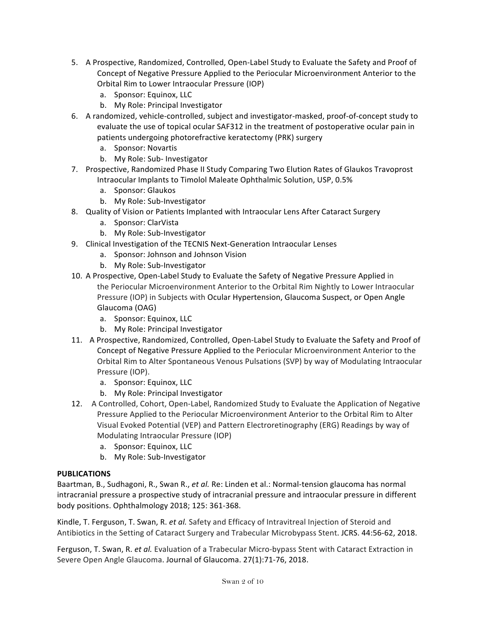- 5. A Prospective, Randomized, Controlled, Open-Label Study to Evaluate the Safety and Proof of Concept of Negative Pressure Applied to the Periocular Microenvironment Anterior to the Orbital Rim to Lower Intraocular Pressure (IOP)
	- a. Sponsor: Equinox, LLC
	- b. My Role: Principal Investigator
- 6. A randomized, vehicle-controlled, subject and investigator-masked, proof-of-concept study to evaluate the use of topical ocular SAF312 in the treatment of postoperative ocular pain in patients undergoing photorefractive keratectomy (PRK) surgery
	- a. Sponsor: Novartis
	- b. My Role: Sub- Investigator
- 7. Prospective, Randomized Phase II Study Comparing Two Elution Rates of Glaukos Travoprost Intraocular Implants to Timolol Maleate Ophthalmic Solution, USP, 0.5%
	- a. Sponsor: Glaukos
	- b. My Role: Sub-Investigator
- 8. Quality of Vision or Patients Implanted with Intraocular Lens After Cataract Surgery
	- a. Sponsor: ClarVista
	- b. My Role: Sub-Investigator
- 9. Clinical Investigation of the TECNIS Next-Generation Intraocular Lenses
	- a. Sponsor: Johnson and Johnson Vision
	- b. My Role: Sub-Investigator
- 10. A Prospective, Open-Label Study to Evaluate the Safety of Negative Pressure Applied in the Periocular Microenvironment Anterior to the Orbital Rim Nightly to Lower Intraocular Pressure (IOP) in Subjects with Ocular Hypertension, Glaucoma Suspect, or Open Angle Glaucoma (OAG)
	- a. Sponsor: Equinox, LLC
	- b. My Role: Principal Investigator
- 11. A Prospective, Randomized, Controlled, Open-Label Study to Evaluate the Safety and Proof of Concept of Negative Pressure Applied to the Periocular Microenvironment Anterior to the Orbital Rim to Alter Spontaneous Venous Pulsations (SVP) by way of Modulating Intraocular Pressure (IOP).
	- a. Sponsor: Equinox, LLC
	- b. My Role: Principal Investigator
- 12. A Controlled, Cohort, Open-Label, Randomized Study to Evaluate the Application of Negative Pressure Applied to the Periocular Microenvironment Anterior to the Orbital Rim to Alter Visual Evoked Potential (VEP) and Pattern Electroretinography (ERG) Readings by way of Modulating Intraocular Pressure (IOP)
	- a. Sponsor: Equinox, LLC
	- b. My Role: Sub-Investigator

## **PUBLICATIONS**

Baartman, B., Sudhagoni, R., Swan R., et al. Re: Linden et al.: Normal-tension glaucoma has normal intracranial pressure a prospective study of intracranial pressure and intraocular pressure in different body positions. Ophthalmology 2018; 125: 361-368.

Kindle, T. Ferguson, T. Swan, R. *et al.* Safety and Efficacy of Intravitreal Injection of Steroid and Antibiotics in the Setting of Cataract Surgery and Trabecular Microbypass Stent. JCRS. 44:56-62, 2018.

Ferguson, T. Swan, R. *et al.* Evaluation of a Trabecular Micro-bypass Stent with Cataract Extraction in Severe Open Angle Glaucoma. Journal of Glaucoma. 27(1):71-76, 2018.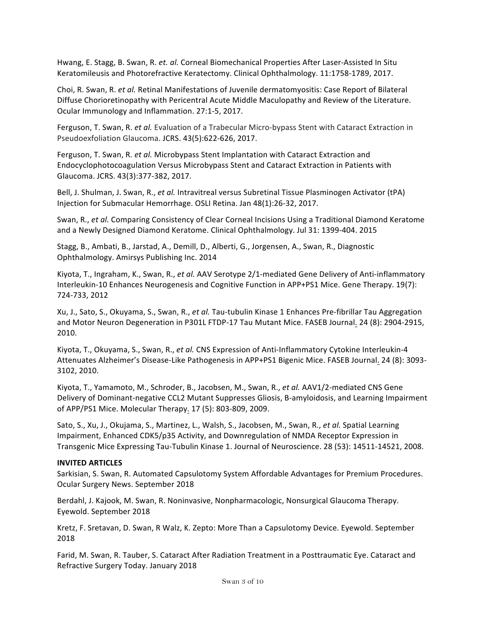Hwang, E. Stagg, B. Swan, R. *et. al.* Corneal Biomechanical Properties After Laser-Assisted In Situ Keratomileusis and Photorefractive Keratectomy. Clinical Ophthalmology. 11:1758-1789, 2017.

Choi, R. Swan, R. *et al.* Retinal Manifestations of Juvenile dermatomyositis: Case Report of Bilateral Diffuse Chorioretinopathy with Pericentral Acute Middle Maculopathy and Review of the Literature. Ocular Immunology and Inflammation. 27:1-5, 2017.

Ferguson, T. Swan, R. *et al.* Evaluation of a Trabecular Micro-bypass Stent with Cataract Extraction in Pseudoexfoliation Glaucoma. JCRS. 43(5):622-626, 2017.

Ferguson, T. Swan, R. *et al.* Microbypass Stent Implantation with Cataract Extraction and Endocyclophotocoagulation Versus Microbypass Stent and Cataract Extraction in Patients with Glaucoma. JCRS. 43(3):377-382, 2017.

Bell, J. Shulman, J. Swan, R., *et al.* Intravitreal versus Subretinal Tissue Plasminogen Activator (tPA) Injection for Submacular Hemorrhage. OSLI Retina. Jan 48(1):26-32, 2017.

Swan, R., *et al.* Comparing Consistency of Clear Corneal Incisions Using a Traditional Diamond Keratome and a Newly Designed Diamond Keratome. Clinical Ophthalmology. Jul 31: 1399-404. 2015

Stagg, B., Ambati, B., Jarstad, A., Demill, D., Alberti, G., Jorgensen, A., Swan, R., Diagnostic Ophthalmology. Amirsys Publishing Inc. 2014

Kiyota, T., Ingraham, K., Swan, R., et al. AAV Serotype 2/1-mediated Gene Delivery of Anti-inflammatory Interleukin-10 Enhances Neurogenesis and Cognitive Function in APP+PS1 Mice. Gene Therapy. 19(7): 724-733, 2012

Xu, J., Sato, S., Okuyama, S., Swan, R., *et al.* Tau-tubulin Kinase 1 Enhances Pre-fibrillar Tau Aggregation and Motor Neuron Degeneration in P301L FTDP-17 Tau Mutant Mice. FASEB Journal. 24 (8): 2904-2915, 2010.

Kiyota, T., Okuyama, S., Swan, R., et al. CNS Expression of Anti-Inflammatory Cytokine Interleukin-4 Attenuates Alzheimer's Disease-Like Pathogenesis in APP+PS1 Bigenic Mice. FASEB Journal. 24 (8): 3093-3102, 2010.

Kiyota, T., Yamamoto, M., Schroder, B., Jacobsen, M., Swan, R., *et al.* AAV1/2-mediated CNS Gene Delivery of Dominant-negative CCL2 Mutant Suppresses Gliosis, B-amyloidosis, and Learning Impairment of APP/PS1 Mice. Molecular Therapy. 17 (5): 803-809, 2009.

Sato, S., Xu, J., Okujama, S., Martinez, L., Walsh, S., Jacobsen, M., Swan, R., *et al.* Spatial Learning Impairment, Enhanced CDK5/p35 Activity, and Downregulation of NMDA Receptor Expression in Transgenic Mice Expressing Tau-Tubulin Kinase 1. Journal of Neuroscience. 28 (53): 14511-14521, 2008.

#### **INVITED ARTICLES**

Sarkisian, S. Swan, R. Automated Capsulotomy System Affordable Advantages for Premium Procedures. Ocular Surgery News. September 2018

Berdahl, J. Kajook, M. Swan, R. Noninvasive, Nonpharmacologic, Nonsurgical Glaucoma Therapy. Eyewold. September 2018

Kretz, F. Sretavan, D. Swan, R Walz, K. Zepto: More Than a Capsulotomy Device. Eyewold. September 2018

Farid, M. Swan, R. Tauber, S. Cataract After Radiation Treatment in a Posttraumatic Eye. Cataract and Refractive Surgery Today. January 2018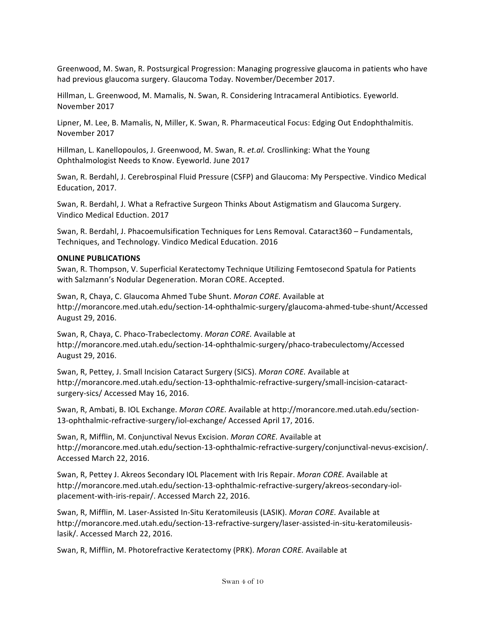Greenwood, M. Swan, R. Postsurgical Progression: Managing progressive glaucoma in patients who have had previous glaucoma surgery. Glaucoma Today. November/December 2017.

Hillman, L. Greenwood, M. Mamalis, N. Swan, R. Considering Intracameral Antibiotics. Eyeworld. November 2017

Lipner, M. Lee, B. Mamalis, N, Miller, K. Swan, R. Pharmaceutical Focus: Edging Out Endophthalmitis. November 2017

Hillman, L. Kanellopoulos, J. Greenwood, M. Swan, R. *et.al.* Crosllinking: What the Young Ophthalmologist Needs to Know. Eyeworld. June 2017

Swan, R. Berdahl, J. Cerebrospinal Fluid Pressure (CSFP) and Glaucoma: My Perspective. Vindico Medical Education, 2017.

Swan, R. Berdahl, J. What a Refractive Surgeon Thinks About Astigmatism and Glaucoma Surgery. Vindico Medical Eduction. 2017

Swan, R. Berdahl, J. Phacoemulsification Techniques for Lens Removal. Cataract360 - Fundamentals, Techniques, and Technology. Vindico Medical Education. 2016

#### **ONLINE PUBLICATIONS**

Swan, R. Thompson, V. Superficial Keratectomy Technique Utilizing Femtosecond Spatula for Patients with Salzmann's Nodular Degeneration. Moran CORE. Accepted.

Swan, R, Chaya, C. Glaucoma Ahmed Tube Shunt. Moran CORE. Available at http://morancore.med.utah.edu/section-14-ophthalmic-surgery/glaucoma-ahmed-tube-shunt/Accessed August 29, 2016.

Swan, R, Chaya, C. Phaco-Trabeclectomy. Moran CORE. Available at http://morancore.med.utah.edu/section-14-ophthalmic-surgery/phaco-trabeculectomy/Accessed August 29, 2016.

Swan, R, Pettey, J. Small Incision Cataract Surgery (SICS). *Moran CORE*. Available at http://morancore.med.utah.edu/section-13-ophthalmic-refractive-surgery/small-incision-cataractsurgery-sics/ Accessed May 16, 2016.

Swan, R, Ambati, B. IOL Exchange. *Moran CORE*. Available at http://morancore.med.utah.edu/section-13-ophthalmic-refractive-surgery/iol-exchange/ Accessed April 17, 2016.

Swan, R, Mifflin, M. Conjunctival Nevus Excision. *Moran CORE*. Available at http://morancore.med.utah.edu/section-13-ophthalmic-refractive-surgery/conjunctival-nevus-excision/. Accessed March 22, 2016.

Swan, R, Pettey J. Akreos Secondary IOL Placement with Iris Repair. *Moran CORE*. Available at http://morancore.med.utah.edu/section-13-ophthalmic-refractive-surgery/akreos-secondary-iolplacement-with-iris-repair/. Accessed March 22, 2016.

Swan, R, Mifflin, M. Laser-Assisted In-Situ Keratomileusis (LASIK). *Moran CORE*. Available at http://morancore.med.utah.edu/section-13-refractive-surgery/laser-assisted-in-situ-keratomileusislasik/. Accessed March 22, 2016.

Swan, R, Mifflin, M. Photorefractive Keratectomy (PRK). *Moran CORE*. Available at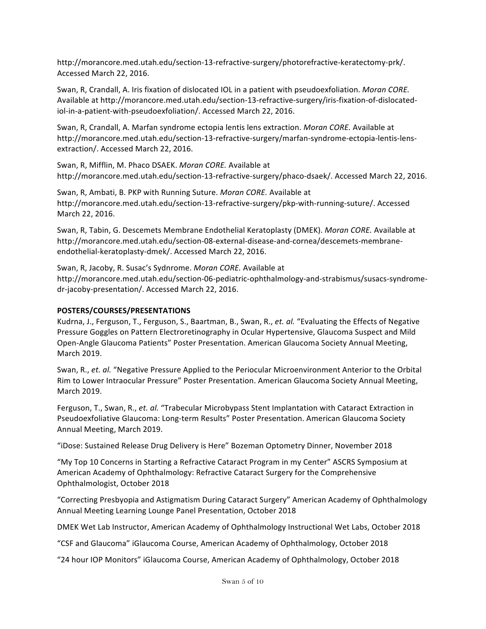http://morancore.med.utah.edu/section-13-refractive-surgery/photorefractive-keratectomy-prk/. Accessed March 22, 2016.

Swan, R, Crandall, A. Iris fixation of dislocated IOL in a patient with pseudoexfoliation. *Moran CORE.* Available at http://morancore.med.utah.edu/section-13-refractive-surgery/iris-fixation-of-dislocatediol-in-a-patient-with-pseudoexfoliation/. Accessed March 22, 2016.

Swan, R, Crandall, A. Marfan syndrome ectopia lentis lens extraction. *Moran CORE*. Available at http://morancore.med.utah.edu/section-13-refractive-surgery/marfan-syndrome-ectopia-lentis-lensextraction/. Accessed March 22, 2016.

Swan, R, Mifflin, M. Phaco DSAEK. *Moran CORE*. Available at http://morancore.med.utah.edu/section-13-refractive-surgery/phaco-dsaek/. Accessed March 22, 2016.

Swan, R, Ambati, B. PKP with Running Suture. *Moran CORE*. Available at http://morancore.med.utah.edu/section-13-refractive-surgery/pkp-with-running-suture/. Accessed March 22, 2016.

Swan, R, Tabin, G. Descemets Membrane Endothelial Keratoplasty (DMEK). *Moran CORE*. Available at http://morancore.med.utah.edu/section-08-external-disease-and-cornea/descemets-membraneendothelial-keratoplasty-dmek/. Accessed March 22, 2016.

Swan, R, Jacoby, R. Susac's Sydnrome. *Moran CORE*. Available at http://morancore.med.utah.edu/section-06-pediatric-ophthalmology-and-strabismus/susacs-syndromedr-jacoby-presentation/. Accessed March 22, 2016.

### **POSTERS/COURSES/PRESENTATIONS**

Kudrna, J., Ferguson, T., Ferguson, S., Baartman, B., Swan, R., *et. al.* "Evaluating the Effects of Negative Pressure Goggles on Pattern Electroretinography in Ocular Hypertensive, Glaucoma Suspect and Mild Open-Angle Glaucoma Patients" Poster Presentation. American Glaucoma Society Annual Meeting, March 2019.

Swan, R., et. al. "Negative Pressure Applied to the Periocular Microenvironment Anterior to the Orbital Rim to Lower Intraocular Pressure" Poster Presentation. American Glaucoma Society Annual Meeting, March 2019.

Ferguson, T., Swan, R., et. al. "Trabecular Microbypass Stent Implantation with Cataract Extraction in Pseudoexfoliative Glaucoma: Long-term Results" Poster Presentation. American Glaucoma Society Annual Meeting, March 2019.

"iDose: Sustained Release Drug Delivery is Here" Bozeman Optometry Dinner, November 2018

"My Top 10 Concerns in Starting a Refractive Cataract Program in my Center" ASCRS Symposium at American Academy of Ophthalmology: Refractive Cataract Surgery for the Comprehensive Ophthalmologist, October 2018

"Correcting Presbyopia and Astigmatism During Cataract Surgery" American Academy of Ophthalmology Annual Meeting Learning Lounge Panel Presentation, October 2018

DMEK Wet Lab Instructor, American Academy of Ophthalmology Instructional Wet Labs, October 2018

"CSF and Glaucoma" iGlaucoma Course, American Academy of Ophthalmology, October 2018

"24 hour IOP Monitors" iGlaucoma Course, American Academy of Ophthalmology, October 2018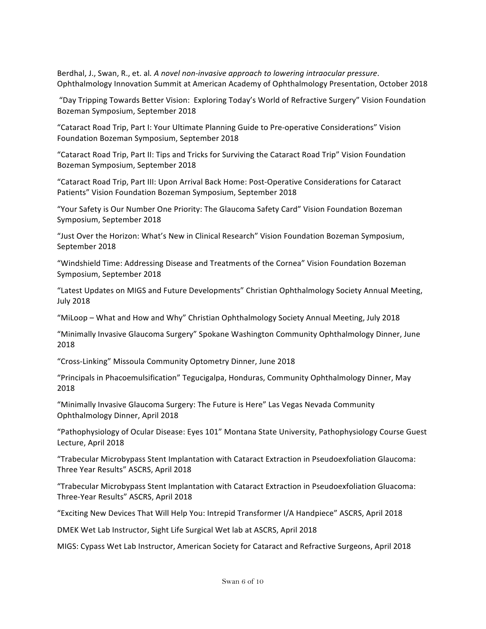Berdhal, J., Swan, R., et. al. A novel non-invasive approach to lowering intraocular pressure. Ophthalmology Innovation Summit at American Academy of Ophthalmology Presentation, October 2018

"Day Tripping Towards Better Vision: Exploring Today's World of Refractive Surgery" Vision Foundation Bozeman Symposium, September 2018

"Cataract Road Trip, Part I: Your Ultimate Planning Guide to Pre-operative Considerations" Vision Foundation Bozeman Symposium, September 2018

"Cataract Road Trip, Part II: Tips and Tricks for Surviving the Cataract Road Trip" Vision Foundation Bozeman Symposium, September 2018

"Cataract Road Trip, Part III: Upon Arrival Back Home: Post-Operative Considerations for Cataract Patients" Vision Foundation Bozeman Symposium, September 2018

"Your Safety is Our Number One Priority: The Glaucoma Safety Card" Vision Foundation Bozeman Symposium, September 2018

"Just Over the Horizon: What's New in Clinical Research" Vision Foundation Bozeman Symposium, September 2018

"Windshield Time: Addressing Disease and Treatments of the Cornea" Vision Foundation Bozeman Symposium, September 2018

"Latest Updates on MIGS and Future Developments" Christian Ophthalmology Society Annual Meeting, July 2018

"MiLoop – What and How and Why" Christian Ophthalmology Society Annual Meeting, July 2018

"Minimally Invasive Glaucoma Surgery" Spokane Washington Community Ophthalmology Dinner, June 2018

"Cross-Linking" Missoula Community Optometry Dinner, June 2018

"Principals in Phacoemulsification" Tegucigalpa, Honduras, Community Ophthalmology Dinner, May 2018

"Minimally Invasive Glaucoma Surgery: The Future is Here" Las Vegas Nevada Community Ophthalmology Dinner, April 2018

"Pathophysiology of Ocular Disease: Eyes 101" Montana State University, Pathophysiology Course Guest Lecture, April 2018

"Trabecular Microbypass Stent Implantation with Cataract Extraction in Pseudoexfoliation Glaucoma: Three Year Results" ASCRS, April 2018

"Trabecular Microbypass Stent Implantation with Cataract Extraction in Pseudoexfoliation Gluacoma: Three-Year Results" ASCRS, April 2018

"Exciting New Devices That Will Help You: Intrepid Transformer I/A Handpiece" ASCRS, April 2018

DMEK Wet Lab Instructor, Sight Life Surgical Wet lab at ASCRS, April 2018

MIGS: Cypass Wet Lab Instructor, American Society for Cataract and Refractive Surgeons, April 2018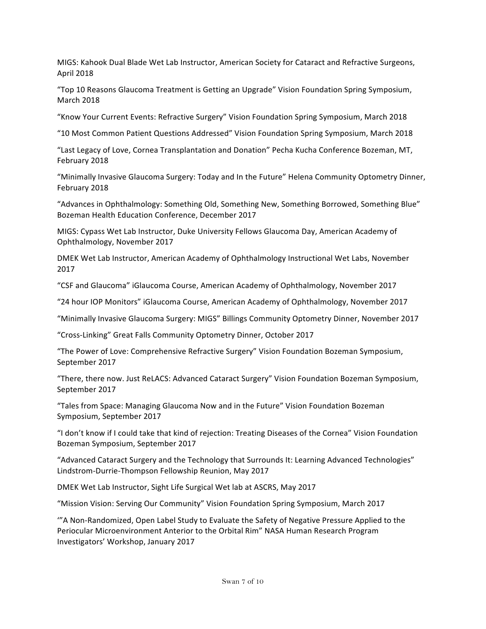MIGS: Kahook Dual Blade Wet Lab Instructor, American Society for Cataract and Refractive Surgeons, April 2018

"Top 10 Reasons Glaucoma Treatment is Getting an Upgrade" Vision Foundation Spring Symposium, March 2018

"Know Your Current Events: Refractive Surgery" Vision Foundation Spring Symposium, March 2018

"10 Most Common Patient Questions Addressed" Vision Foundation Spring Symposium, March 2018

"Last Legacy of Love, Cornea Transplantation and Donation" Pecha Kucha Conference Bozeman, MT, February 2018

"Minimally Invasive Glaucoma Surgery: Today and In the Future" Helena Community Optometry Dinner, February 2018

"Advances in Ophthalmology: Something Old, Something New, Something Borrowed, Something Blue" Bozeman Health Education Conference, December 2017

MIGS: Cypass Wet Lab Instructor, Duke University Fellows Glaucoma Day, American Academy of Ophthalmology, November 2017

DMEK Wet Lab Instructor, American Academy of Ophthalmology Instructional Wet Labs, November 2017

"CSF and Glaucoma" iGlaucoma Course, American Academy of Ophthalmology, November 2017

"24 hour IOP Monitors" iGlaucoma Course, American Academy of Ophthalmology, November 2017

"Minimally Invasive Glaucoma Surgery: MIGS" Billings Community Optometry Dinner, November 2017

"Cross-Linking" Great Falls Community Optometry Dinner, October 2017

"The Power of Love: Comprehensive Refractive Surgery" Vision Foundation Bozeman Symposium, September 2017

"There, there now. Just ReLACS: Advanced Cataract Surgery" Vision Foundation Bozeman Symposium, September 2017

"Tales from Space: Managing Glaucoma Now and in the Future" Vision Foundation Bozeman Symposium, September 2017

"I don't know if I could take that kind of rejection: Treating Diseases of the Cornea" Vision Foundation Bozeman Symposium, September 2017

"Advanced Cataract Surgery and the Technology that Surrounds It: Learning Advanced Technologies" Lindstrom-Durrie-Thompson Fellowship Reunion, May 2017

DMEK Wet Lab Instructor, Sight Life Surgical Wet lab at ASCRS, May 2017

"Mission Vision: Serving Our Community" Vision Foundation Spring Symposium, March 2017

""A Non-Randomized, Open Label Study to Evaluate the Safety of Negative Pressure Applied to the Periocular Microenvironment Anterior to the Orbital Rim" NASA Human Research Program Investigators' Workshop, January 2017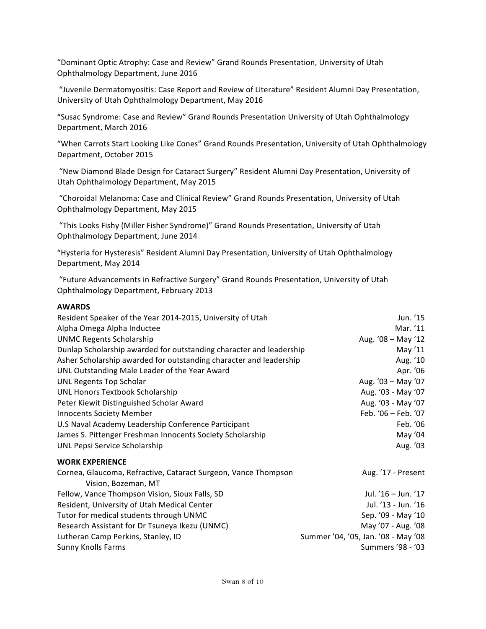"Dominant Optic Atrophy: Case and Review" Grand Rounds Presentation, University of Utah Ophthalmology Department, June 2016

"Juvenile Dermatomyositis: Case Report and Review of Literature" Resident Alumni Day Presentation, University of Utah Ophthalmology Department, May 2016

"Susac Syndrome: Case and Review" Grand Rounds Presentation University of Utah Ophthalmology Department, March 2016

"When Carrots Start Looking Like Cones" Grand Rounds Presentation, University of Utah Ophthalmology Department, October 2015

"New Diamond Blade Design for Cataract Surgery" Resident Alumni Day Presentation, University of Utah Ophthalmology Department, May 2015

"Choroidal Melanoma: Case and Clinical Review" Grand Rounds Presentation, University of Utah Ophthalmology Department, May 2015

"This Looks Fishy (Miller Fisher Syndrome)" Grand Rounds Presentation, University of Utah Ophthalmology Department, June 2014

"Hysteria for Hysteresis" Resident Alumni Day Presentation, University of Utah Ophthalmology Department, May 2014

"Future Advancements in Refractive Surgery" Grand Rounds Presentation, University of Utah Ophthalmology Department, February 2013

#### **AWARDS**

| Resident Speaker of the Year 2014-2015, University of Utah                            | Jun. '15                            |
|---------------------------------------------------------------------------------------|-------------------------------------|
| Alpha Omega Alpha Inductee                                                            | Mar. '11                            |
| <b>UNMC Regents Scholarship</b>                                                       | Aug. '08 - May '12                  |
| Dunlap Scholarship awarded for outstanding character and leadership                   | May '11                             |
| Asher Scholarship awarded for outstanding character and leadership                    | Aug. '10                            |
| UNL Outstanding Male Leader of the Year Award                                         | Apr. '06                            |
| UNL Regents Top Scholar                                                               | Aug. '03 - May '07                  |
| UNL Honors Textbook Scholarship                                                       | Aug. '03 - May '07                  |
| Peter Kiewit Distinguished Scholar Award                                              | Aug. '03 - May '07                  |
| <b>Innocents Society Member</b>                                                       | Feb. '06 - Feb. '07                 |
| U.S Naval Academy Leadership Conference Participant                                   | Feb. '06                            |
| James S. Pittenger Freshman Innocents Society Scholarship                             | May '04                             |
| UNL Pepsi Service Scholarship                                                         | Aug. '03                            |
| <b>WORK EXPERIENCE</b>                                                                |                                     |
| Cornea, Glaucoma, Refractive, Cataract Surgeon, Vance Thompson<br>Vision, Bozeman, MT | Aug. '17 - Present                  |
| Fellow, Vance Thompson Vision, Sioux Falls, SD                                        | Jul. '16 - Jun. '17                 |
| Resident, University of Utah Medical Center                                           | Jul. '13 - Jun. '16                 |
| Tutor for medical students through UNMC                                               | Sep. '09 - May '10                  |
| Research Assistant for Dr Tsuneya Ikezu (UNMC)                                        | May '07 - Aug. '08                  |
| Lutheran Camp Perkins, Stanley, ID                                                    | Summer '04, '05, Jan. '08 - May '08 |
| <b>Sunny Knolls Farms</b>                                                             | Summers '98 - '03                   |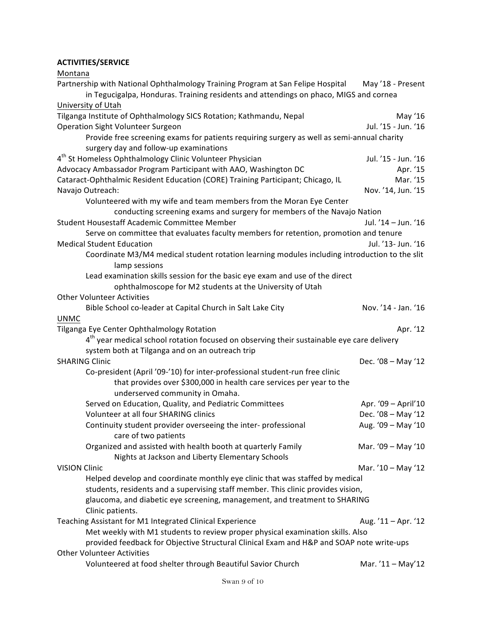## **ACTIVITIES/SERVICE**

Montana

| Partnership with National Ophthalmology Training Program at San Felipe Hospital                                  | May '18 - Present   |
|------------------------------------------------------------------------------------------------------------------|---------------------|
| in Tegucigalpa, Honduras. Training residents and attendings on phaco, MIGS and cornea                            |                     |
| University of Utah                                                                                               |                     |
| Tilganga Institute of Ophthalmology SICS Rotation; Kathmandu, Nepal                                              | May '16             |
| Operation Sight Volunteer Surgeon                                                                                | Jul. '15 - Jun. '16 |
| Provide free screening exams for patients requiring surgery as well as semi-annual charity                       |                     |
| surgery day and follow-up examinations                                                                           |                     |
| 4 <sup>th</sup> St Homeless Ophthalmology Clinic Volunteer Physician                                             | Jul. '15 - Jun. '16 |
| Advocacy Ambassador Program Participant with AAO, Washington DC                                                  | Apr. '15            |
| Cataract-Ophthalmic Resident Education (CORE) Training Participant; Chicago, IL                                  | Mar. '15            |
| Navajo Outreach:                                                                                                 | Nov. '14, Jun. '15  |
| Volunteered with my wife and team members from the Moran Eye Center                                              |                     |
| conducting screening exams and surgery for members of the Navajo Nation                                          |                     |
| Student Housestaff Academic Committee Member                                                                     | Jul. '14 - Jun. '16 |
| Serve on committee that evaluates faculty members for retention, promotion and tenure                            |                     |
| <b>Medical Student Education</b>                                                                                 | Jul. '13- Jun. '16  |
|                                                                                                                  |                     |
| Coordinate M3/M4 medical student rotation learning modules including introduction to the slit<br>lamp sessions   |                     |
| Lead examination skills session for the basic eye exam and use of the direct                                     |                     |
| ophthalmoscope for M2 students at the University of Utah                                                         |                     |
| <b>Other Volunteer Activities</b>                                                                                |                     |
| Bible School co-leader at Capital Church in Salt Lake City                                                       | Nov. '14 - Jan. '16 |
| <b>UNMC</b>                                                                                                      |                     |
| Tilganga Eye Center Ophthalmology Rotation                                                                       | Apr. '12            |
| 4 <sup>th</sup> year medical school rotation focused on observing their sustainable eye care delivery            |                     |
| system both at Tilganga and on an outreach trip                                                                  |                     |
| <b>SHARING Clinic</b>                                                                                            | Dec. '08 - May '12  |
| Co-president (April '09-'10) for inter-professional student-run free clinic                                      |                     |
| that provides over \$300,000 in health care services per year to the                                             |                     |
| underserved community in Omaha.                                                                                  |                     |
| Served on Education, Quality, and Pediatric Committees                                                           | Apr. '09 - April'10 |
| Volunteer at all four SHARING clinics                                                                            | Dec. '08 - May '12  |
| Continuity student provider overseeing the inter- professional                                                   | Aug. '09 - May '10  |
| care of two patients                                                                                             |                     |
| Organized and assisted with health booth at quarterly Family<br>Nights at Jackson and Liberty Elementary Schools | Mar. '09 - May '10  |
| <b>VISION Clinic</b>                                                                                             | Mar. '10 - May '12  |
| Helped develop and coordinate monthly eye clinic that was staffed by medical                                     |                     |
| students, residents and a supervising staff member. This clinic provides vision,                                 |                     |
|                                                                                                                  |                     |
| glaucoma, and diabetic eye screening, management, and treatment to SHARING<br>Clinic patients.                   |                     |
| Teaching Assistant for M1 Integrated Clinical Experience                                                         | Aug. '11 - Apr. '12 |
| Met weekly with M1 students to review proper physical examination skills. Also                                   |                     |
| provided feedback for Objective Structural Clinical Exam and H&P and SOAP note write-ups                         |                     |
| <b>Other Volunteer Activities</b>                                                                                |                     |
| Volunteered at food shelter through Beautiful Savior Church                                                      | Mar. '11 - May'12   |